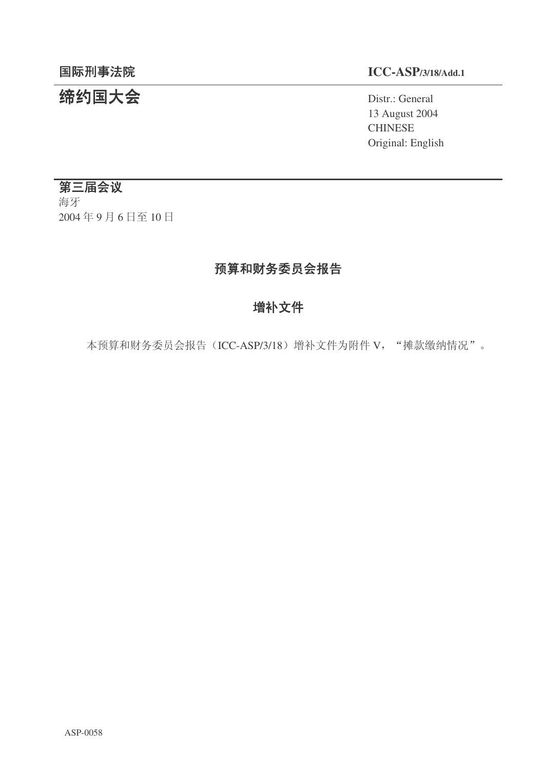# **缔约国大会**<br>
Distr.: General

#### 䰙ߥџ⊩䰶 **ICC-ASP/3/18/Add.1**

13 August 2004 CHINESE Original: English

#### 第三届会议

海牙 2004年9月6日至10日

# 预算和财务委员会报告

# 增补文件

本预算和财务委员会报告 (ICC-ASP/3/18) 增补文件为附件 V, "摊款缴纳情况"。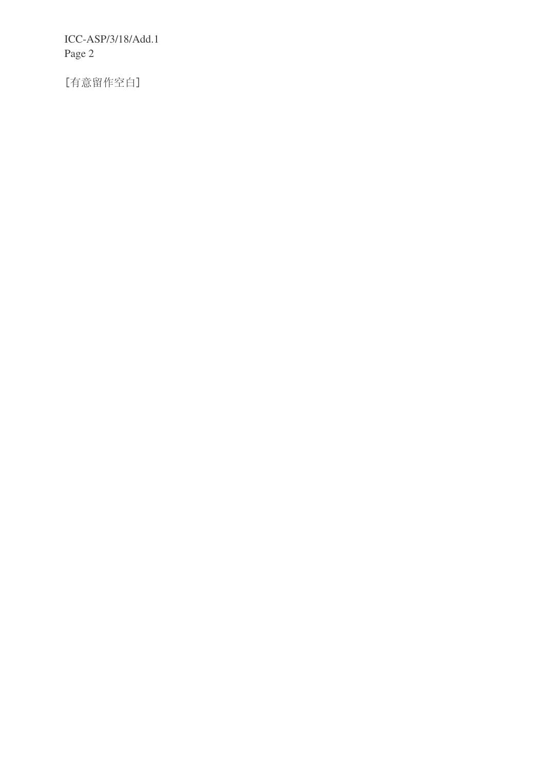ICC-ASP/3/18/Add.1 Page 2

[有意留作空白]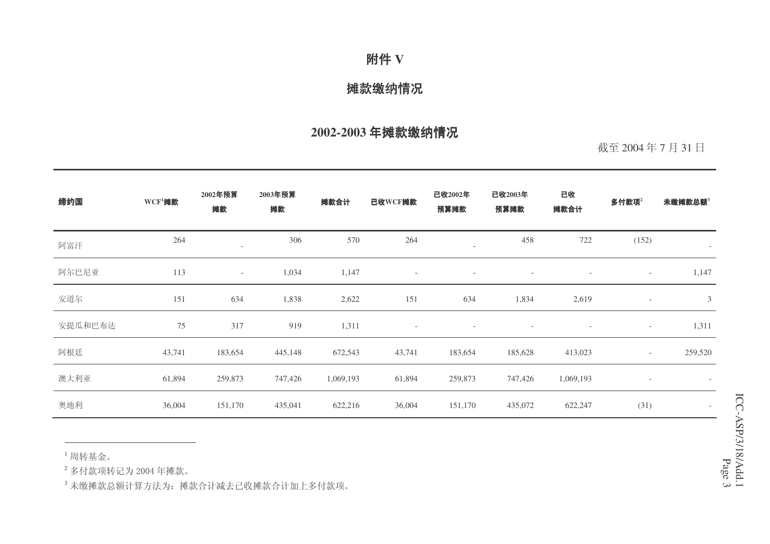## 附件 V

#### 摊款缴纳情况

# 2002-2003 年摊款缴纳情况

截至 2004年7月31日

| 缔约国     | $WCF1$ 摊款 | 2002年预算<br>摊款            | 2003年预算<br>摊款 | 摊款合计      | 已收WCF摊款                  | 已收2002年<br>预算摊款          | 已收2003年<br>预算摊款          | 已收<br>摊款合计               | 多付款项 $2$                 | 未缴摊款总额3                  |
|---------|-----------|--------------------------|---------------|-----------|--------------------------|--------------------------|--------------------------|--------------------------|--------------------------|--------------------------|
| 阿富汗     | 264       |                          | 306           | 570       | 264                      | $\overline{\phantom{a}}$ | 458                      | 722                      | (152)                    | $\overline{\phantom{a}}$ |
| 阿尔巴尼亚   | 113       | $\overline{\phantom{a}}$ | 1,034         | 1,147     | $\overline{\phantom{a}}$ | $\overline{\phantom{a}}$ | $\overline{\phantom{a}}$ | $\overline{\phantom{a}}$ | $\overline{\phantom{a}}$ | 1,147                    |
| 安道尔     | 151       | 634                      | 1,838         | 2,622     | 151                      | 634                      | 1,834                    | 2,619                    | $\overline{\phantom{a}}$ | $\mathfrak{Z}$           |
| 安提瓜和巴布达 | 75        | 317                      | 919           | 1,311     | $\overline{\phantom{a}}$ | $\overline{\phantom{a}}$ | $\overline{\phantom{a}}$ | $\overline{\phantom{a}}$ | $\overline{\phantom{a}}$ | 1,311                    |
| 阿根廷     | 43,741    | 183,654                  | 445,148       | 672,543   | 43,741                   | 183,654                  | 185,628                  | 413,023                  | $-$                      | 259,520                  |
| 澳大利亚    | 61,894    | 259,873                  | 747,426       | 1,069,193 | 61,894                   | 259,873                  | 747,426                  | 1,069,193                | $\overline{\phantom{a}}$ |                          |
| 奥地利     | 36,004    | 151,170                  | 435,041       | 622,216   | 36,004                   | 151,170                  | 435,072                  | 622,247                  | (31)                     | $\overline{\phantom{a}}$ |

 $^1$  周转基金。

 $^2$  多付款项转记为 2004 年摊款。

 $^3$ 未缴摊款总额计算方法为:摊款合计减去已收摊款合计加上多付款项。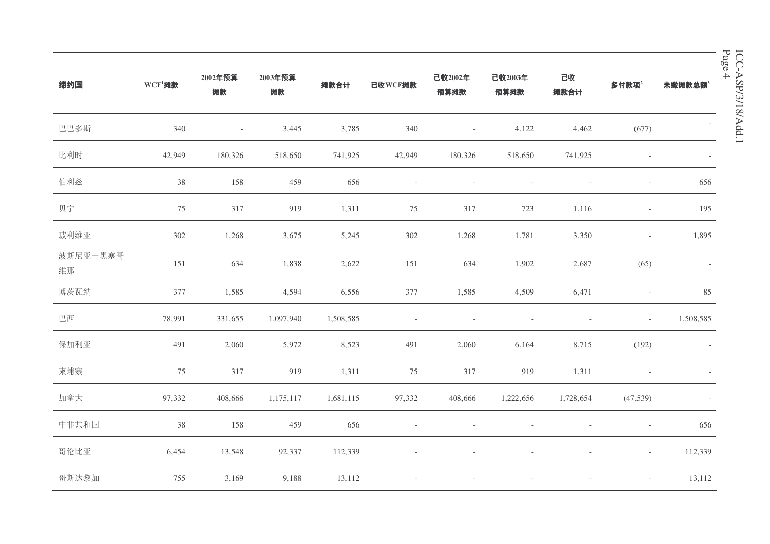| 缔约国            | $WCF1$ 摊款 | 2002年预算<br>摊款            | 2003年预算<br>摊款 | 摊款合计      | 已收WCF摊款                  | 已收2002年<br>预算摊款          | 已收2003年<br>预算摊款 | 已收<br>摊款合计 | 多付款项 $2$                 | 未缴摊款总额3                  |
|----------------|-----------|--------------------------|---------------|-----------|--------------------------|--------------------------|-----------------|------------|--------------------------|--------------------------|
| 巴巴多斯           | 340       | $\overline{\phantom{a}}$ | 3,445         | 3,785     | 340                      | $\overline{\phantom{a}}$ | 4,122           | 4,462      | (677)                    |                          |
| 比利时            | 42,949    | 180,326                  | 518,650       | 741,925   | 42,949                   | 180,326                  | 518,650         | 741,925    |                          | $\overline{\phantom{a}}$ |
| 伯利兹            | $38\,$    | 158                      | 459           | 656       | $\overline{\phantom{a}}$ |                          |                 |            | $\overline{\phantom{a}}$ | 656                      |
| 贝宁             | 75        | 317                      | 919           | 1,311     | $75\,$                   | 317                      | 723             | 1,116      | $\overline{\phantom{a}}$ | 195                      |
| 玻利维亚           | 302       | 1,268                    | 3,675         | 5,245     | 302                      | 1,268                    | 1,781           | 3,350      | $\overline{\phantom{a}}$ | 1,895                    |
| 波斯尼亚一黑塞哥<br>维那 | 151       | 634                      | 1,838         | 2,622     | 151                      | 634                      | 1,902           | 2,687      | (65)                     | $\overline{\phantom{a}}$ |
| 博茨瓦纳           | 377       | 1,585                    | 4,594         | 6,556     | 377                      | 1,585                    | 4,509           | 6,471      | $\overline{\phantom{a}}$ | 85                       |
| 巴西             | 78,991    | 331,655                  | 1,097,940     | 1,508,585 | $\overline{\phantom{a}}$ |                          |                 |            | $\overline{\phantom{a}}$ | 1,508,585                |
| 保加利亚           | 491       | 2,060                    | 5,972         | 8,523     | 491                      | 2,060                    | 6,164           | 8,715      | (192)                    |                          |
| 柬埔寨            | 75        | 317                      | 919           | 1,311     | 75                       | 317                      | 919             | 1,311      |                          |                          |
| 加拿大            | 97,332    | 408,666                  | 1,175,117     | 1,681,115 | 97,332                   | 408,666                  | 1,222,656       | 1,728,654  | (47, 539)                |                          |
| 中非共和国          | $38\,$    | 158                      | 459           | 656       |                          |                          |                 |            | $\overline{\phantom{a}}$ | 656                      |
| 哥伦比亚           | 6,454     | 13,548                   | 92,337        | 112,339   |                          |                          |                 |            | $\overline{\phantom{a}}$ | 112,339                  |
| 哥斯达黎加          | 755       | 3,169                    | 9,188         | 13,112    |                          |                          |                 |            |                          | 13,112                   |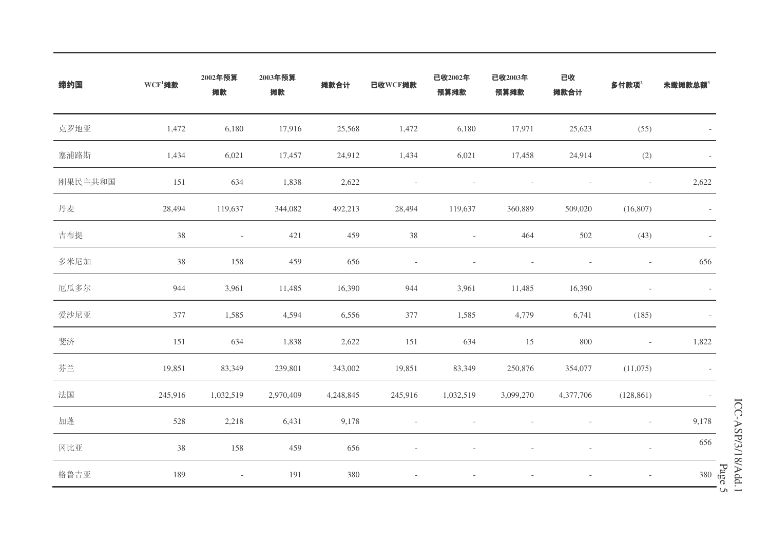| 缔约国     | $WCF1$ 摊款 | 2002年预算<br>摊款            | 2003年预算<br>摊款 | 摊款合计      | 已收WCF摊款 | 已收2002年<br>预算摊款          | 已收2003年<br>预算摊款 | 已收<br>摊款合计 | 多付款项 $2$                 | 未缴摊款总额3                  |
|---------|-----------|--------------------------|---------------|-----------|---------|--------------------------|-----------------|------------|--------------------------|--------------------------|
| 克罗地亚    | 1,472     | 6,180                    | 17,916        | 25,568    | 1,472   | 6,180                    | 17,971          | 25,623     | (55)                     |                          |
| 塞浦路斯    | 1,434     | 6,021                    | 17,457        | 24,912    | 1,434   | 6,021                    | 17,458          | 24,914     | (2)                      |                          |
| 刚果民主共和国 | 151       | 634                      | 1,838         | 2,622     |         |                          |                 |            | $\overline{\phantom{a}}$ | 2,622                    |
| 丹麦      | 28,494    | 119,637                  | 344,082       | 492,213   | 28,494  | 119,637                  | 360,889         | 509,020    | (16,807)                 |                          |
| 吉布提     | 38        | $\overline{\phantom{a}}$ | 421           | 459       | $38\,$  | $\overline{\phantom{a}}$ | 464             | $502\,$    | (43)                     | $\overline{\phantom{a}}$ |
| 多米尼加    | 38        | 158                      | 459           | 656       |         | $\overline{a}$           |                 |            | $\overline{\phantom{a}}$ | 656                      |
| 厄瓜多尔    | 944       | 3,961                    | 11,485        | 16,390    | 944     | 3,961                    | 11,485          | 16,390     | $\overline{a}$           |                          |
| 爱沙尼亚    | 377       | 1,585                    | 4,594         | 6,556     | 377     | 1,585                    | 4,779           | 6,741      | (185)                    |                          |
| 斐济      | 151       | 634                      | 1,838         | 2,622     | 151     | 634                      | 15              | 800        | $\overline{\phantom{a}}$ | 1,822                    |
| 芬兰      | 19,851    | 83,349                   | 239,801       | 343,002   | 19,851  | 83,349                   | 250,876         | 354,077    | (11,075)                 |                          |
| 法国      | 245,916   | 1,032,519                | 2,970,409     | 4,248,845 | 245,916 | 1,032,519                | 3,099,270       | 4,377,706  | (128, 861)               | $\overline{\phantom{a}}$ |
| 加蓬      | 528       | 2,218                    | 6,431         | 9,178     |         |                          |                 |            | $\qquad \qquad -$        | 9,178                    |
| 冈比亚     | 38        | 158                      | 459           | 656       |         |                          |                 |            | $\overline{\phantom{a}}$ | 656                      |
| 格鲁吉亚    | 189       | $\overline{\phantom{a}}$ | 191           | 380       | i,      |                          |                 |            | $\overline{\phantom{a}}$ | Page                     |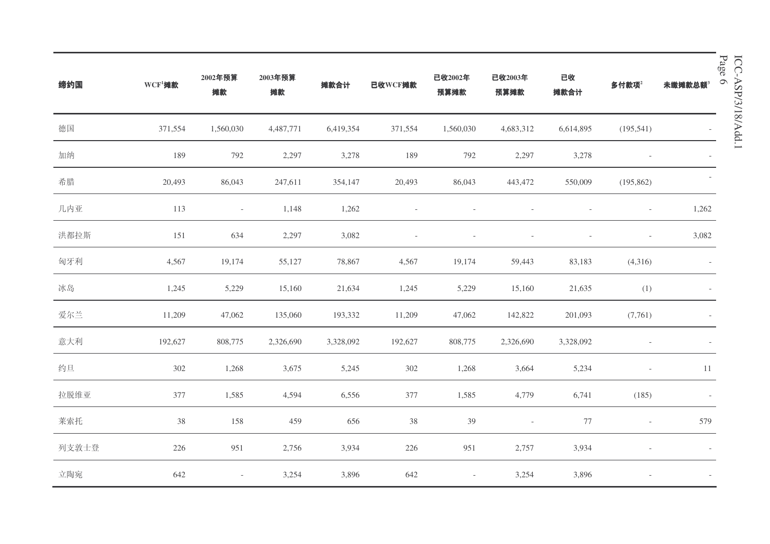| 缔约国   | $WCF1$ 摊款 | 2002年预算<br>摊款            | 2003年预算<br>摊款 | 摊款合计      | 已收WCF摊款 | 已收2002年<br>预算摊款          | 已收2003年<br>预算摊款          | 已收<br>摊款合计     | 多付款项 $2$                 | Page<br>$\circ$<br>未缴摊款总额3 |
|-------|-----------|--------------------------|---------------|-----------|---------|--------------------------|--------------------------|----------------|--------------------------|----------------------------|
| 德国    | 371,554   | 1,560,030                | 4,487,771     | 6,419,354 | 371,554 | 1,560,030                | 4,683,312                | 6,614,895      | (195, 541)               |                            |
| 加纳    | 189       | 792                      | 2,297         | 3,278     | 189     | 792                      | 2,297                    | 3,278          | $\overline{\phantom{a}}$ |                            |
| 希腊    | 20,493    | 86,043                   | 247,611       | 354,147   | 20,493  | 86,043                   | 443,472                  | 550,009        | (195, 862)               |                            |
| 几内亚   | 113       | $\overline{\phantom{a}}$ | 1,148         | 1,262     |         |                          |                          |                | $\overline{\phantom{a}}$ | 1,262                      |
| 洪都拉斯  | 151       | 634                      | 2,297         | 3,082     | ÷,      | $\overline{\phantom{a}}$ |                          | $\overline{a}$ | $\overline{\phantom{a}}$ | 3,082                      |
| 匈牙利   | 4,567     | 19,174                   | 55,127        | 78,867    | 4,567   | 19,174                   | 59,443                   | 83,183         | (4,316)                  |                            |
| 冰岛    | 1,245     | 5,229                    | 15,160        | 21,634    | 1,245   | 5,229                    | 15,160                   | 21,635         | (1)                      |                            |
| 爱尔兰   | 11,209    | 47,062                   | 135,060       | 193,332   | 11,209  | 47,062                   | 142,822                  | 201,093        | (7,761)                  |                            |
| 意大利   | 192,627   | 808,775                  | 2,326,690     | 3,328,092 | 192,627 | 808,775                  | 2,326,690                | 3,328,092      | $\overline{a}$           |                            |
| 约旦    | 302       | 1,268                    | 3,675         | 5,245     | 302     | 1,268                    | 3,664                    | 5,234          | $\overline{\phantom{a}}$ | 11                         |
| 拉脱维亚  | 377       | 1,585                    | 4,594         | 6,556     | 377     | 1,585                    | 4,779                    | 6,741          | (185)                    | $\overline{\phantom{a}}$   |
| 莱索托   | 38        | 158                      | 459           | 656       | 38      | 39                       | $\overline{\phantom{a}}$ | 77             | $\overline{\phantom{a}}$ | 579                        |
| 列支敦士登 | 226       | 951                      | 2,756         | 3,934     | 226     | 951                      | 2,757                    | 3,934          |                          |                            |
| 立陶宛   | 642       | $\overline{\phantom{a}}$ | 3,254         | 3,896     | 642     | $\overline{\phantom{a}}$ | 3,254                    | 3,896          |                          |                            |

ICC-ASP/3/18/Add.1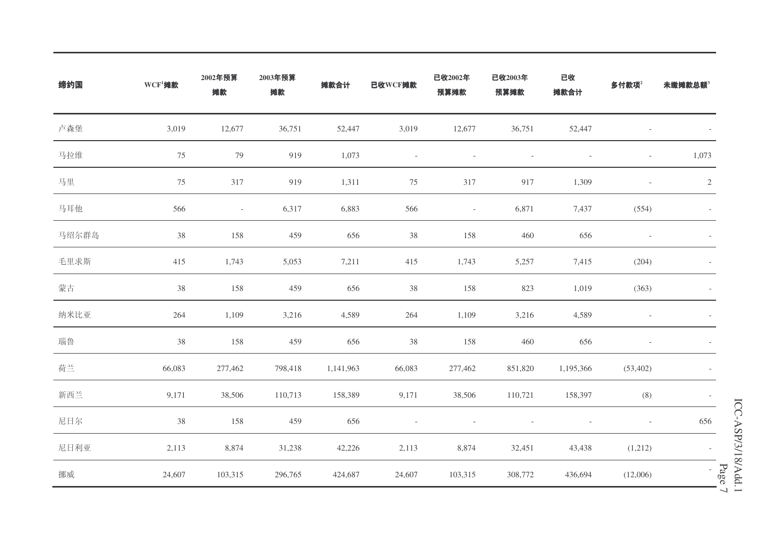| 缔约国   | $WCF1$ 摊款 | 2002年预算<br>摊款            | 2003年预算<br>摊款 | 摊款合计      | 已收WCF摊款                  | 已收2002年<br>预算摊款          | 已收2003年<br>预算摊款 | 已收<br>摊款合计 | 多付款项 $2$                 | 未缴摊款总额3                          |
|-------|-----------|--------------------------|---------------|-----------|--------------------------|--------------------------|-----------------|------------|--------------------------|----------------------------------|
| 卢森堡   | 3,019     | 12,677                   | 36,751        | 52,447    | 3,019                    | 12,677                   | 36,751          | 52,447     | $\overline{a}$           |                                  |
| 马拉维   | 75        | 79                       | 919           | 1,073     | $\overline{\phantom{a}}$ | $\overline{\phantom{a}}$ |                 |            | $\overline{\phantom{a}}$ | 1,073                            |
| 马里    | 75        | 317                      | 919           | 1,311     | 75                       | 317                      | 917             | 1,309      | $\overline{a}$           | $\sqrt{2}$                       |
| 马耳他   | 566       | $\overline{\phantom{a}}$ | 6,317         | 6,883     | 566                      | $\overline{\phantom{a}}$ | 6,871           | 7,437      | (554)                    |                                  |
| 马绍尔群岛 | 38        | 158                      | 459           | 656       | 38                       | 158                      | 460             | 656        | $\overline{\phantom{a}}$ |                                  |
| 毛里求斯  | 415       | 1,743                    | 5,053         | 7,211     | 415                      | 1,743                    | 5,257           | 7,415      | (204)                    |                                  |
| 蒙古    | 38        | 158                      | 459           | 656       | 38                       | 158                      | 823             | 1,019      | (363)                    |                                  |
| 纳米比亚  | 264       | 1,109                    | 3,216         | 4,589     | $264\,$                  | 1,109                    | 3,216           | 4,589      |                          |                                  |
| 瑙鲁    | 38        | 158                      | 459           | 656       | $38\,$                   | 158                      | 460             | 656        |                          |                                  |
| 荷兰    | 66,083    | 277,462                  | 798,418       | 1,141,963 | 66,083                   | 277,462                  | 851,820         | 1,195,366  | (53, 402)                |                                  |
| 新西兰   | 9,171     | 38,506                   | 110,713       | 158,389   | 9,171                    | 38,506                   | 110,721         | 158,397    | (8)                      | $\overline{\phantom{a}}$         |
| 尼日尔   | 38        | 158                      | 459           | 656       |                          |                          |                 |            | $\overline{\phantom{a}}$ | 656                              |
| 尼日利亚  | 2,113     | 8,874                    | 31,238        | 42,226    | 2,113                    | 8,874                    | 32,451          | 43,438     | (1,212)                  |                                  |
| 挪威    | 24,607    | 103,315                  | 296,765       | 424,687   | 24,607                   | 103,315                  | 308,772         | 436,694    | (12,006)                 | Page<br>$\overline{\phantom{0}}$ |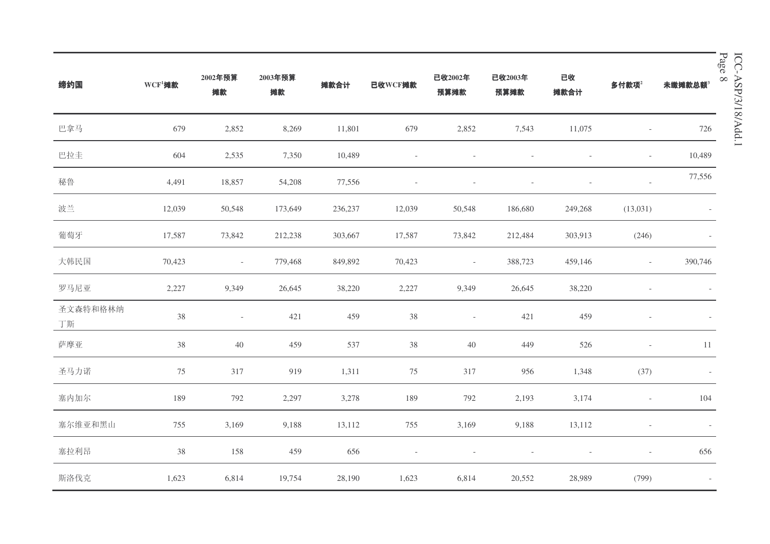| 缔约国            | $WCF1$ 摊款 | 2002年预算<br>摊款            | 2003年预算<br>摊款 | 摊款合计    | 已收WCF摊款                  | 已收2002年<br>预算摊款          | 已收2003年<br>预算摊款 | 已收<br>摊款合计 | 多付款项 $2$                 | $\alpha$<br>未缴摊款总额3      |
|----------------|-----------|--------------------------|---------------|---------|--------------------------|--------------------------|-----------------|------------|--------------------------|--------------------------|
| 巴拿马            | 679       | 2,852                    | 8,269         | 11,801  | 679                      | 2,852                    | 7,543           | 11,075     | $\overline{\phantom{a}}$ | 726                      |
| 巴拉圭            | 604       | 2,535                    | 7,350         | 10,489  | $\overline{\phantom{a}}$ |                          |                 |            | $\overline{\phantom{a}}$ | 10,489                   |
| 秘鲁             | 4,491     | 18,857                   | 54,208        | 77,556  |                          | $\overline{\phantom{a}}$ |                 |            | $\overline{\phantom{a}}$ | 77,556                   |
| 波兰             | 12,039    | 50,548                   | 173,649       | 236,237 | 12,039                   | 50,548                   | 186,680         | 249,268    | (13,031)                 |                          |
| 葡萄牙            | 17,587    | 73,842                   | 212,238       | 303,667 | 17,587                   | 73,842                   | 212,484         | 303,913    | (246)                    |                          |
| 大韩民国           | 70,423    | $\sim$                   | 779,468       | 849,892 | 70,423                   | $\sim$                   | 388,723         | 459,146    | $\sim$                   | 390,746                  |
| 罗马尼亚           | 2,227     | 9,349                    | 26,645        | 38,220  | 2,227                    | 9,349                    | 26,645          | 38,220     |                          |                          |
| 圣文森特和格林纳<br>丁斯 | $38\,$    | $\overline{\phantom{a}}$ | 421           | 459     | 38                       | $\sim$                   | 421             | 459        |                          |                          |
| 萨摩亚            | $38\,$    | $40\,$                   | 459           | 537     | $38\,$                   | $40\,$                   | 449             | 526        | $\overline{\phantom{a}}$ | 11                       |
| 圣马力诺           | 75        | 317                      | 919           | 1,311   | 75                       | 317                      | 956             | 1,348      | (37)                     |                          |
| 塞内加尔           | 189       | 792                      | 2,297         | 3,278   | 189                      | 792                      | 2,193           | 3,174      | $\overline{\phantom{a}}$ | 104                      |
| 塞尔维亚和黑山        | 755       | 3,169                    | 9,188         | 13,112  | 755                      | 3,169                    | 9,188           | 13,112     | $\overline{\phantom{a}}$ | $\overline{\phantom{a}}$ |
| 塞拉利昂           | $38\,$    | 158                      | 459           | 656     |                          |                          |                 |            | $\overline{\phantom{a}}$ | 656                      |
| 斯洛伐克           | 1,623     | 6,814                    | 19,754        | 28,190  | 1,623                    | 6,814                    | 20,552          | 28,989     | (799)                    | $\overline{\phantom{a}}$ |

ICC-ASP/3/18/Add.1 Page  $8$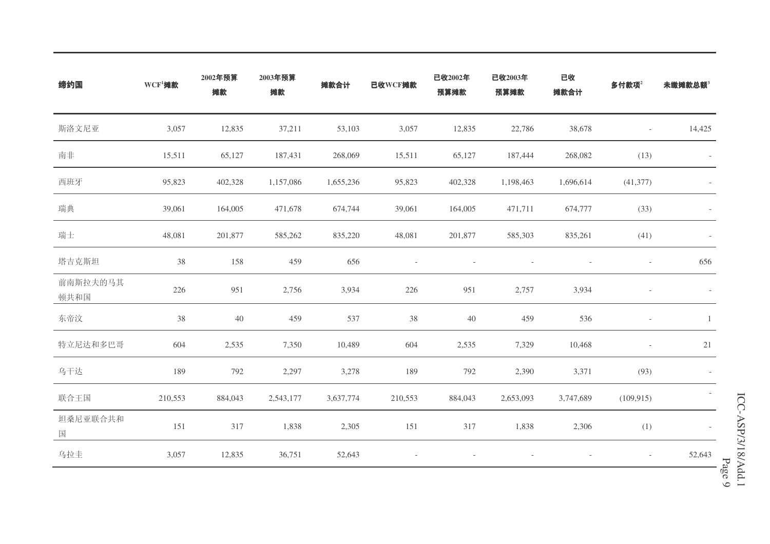| 缔约国              | $WCF1$ 摊款 | 2002年预算<br>摊款 | 2003年预算<br>摊款 | 摊款合计      | 已收WCF摊款 | 已收2002年<br>预算摊款 | 已收2003年<br>预算摊款 | 已收<br>摊款合计               | 多付款项 $2$                 | 未缴摊款总额3 |
|------------------|-----------|---------------|---------------|-----------|---------|-----------------|-----------------|--------------------------|--------------------------|---------|
| 斯洛文尼亚            | 3,057     | 12,835        | 37,211        | 53,103    | 3,057   | 12,835          | 22,786          | 38,678                   | $\overline{\phantom{a}}$ | 14,425  |
| 南非               | 15,511    | 65,127        | 187,431       | 268,069   | 15,511  | 65,127          | 187,444         | 268,082                  | (13)                     |         |
| 西班牙              | 95,823    | 402,328       | 1,157,086     | 1,655,236 | 95,823  | 402,328         | 1,198,463       | 1,696,614                | (41, 377)                |         |
| 瑞典               | 39,061    | 164,005       | 471,678       | 674,744   | 39,061  | 164,005         | 471,711         | 674,777                  | (33)                     |         |
| 瑞士               | 48,081    | 201,877       | 585,262       | 835,220   | 48,081  | 201,877         | 585,303         | 835,261                  | (41)                     |         |
| 塔吉克斯坦            | 38        | 158           | 459           | 656       |         |                 |                 | $\overline{\phantom{a}}$ | $\overline{\phantom{a}}$ | 656     |
| 前南斯拉夫的马其<br>顿共和国 | 226       | 951           | 2,756         | 3,934     | 226     | 951             | 2,757           | 3,934                    |                          |         |
| 东帝汶              | 38        | $40\,$        | 459           | 537       | $38\,$  | 40              | 459             | 536                      | $\overline{\phantom{a}}$ | -1      |
| 特立尼达和多巴哥         | 604       | 2,535         | 7,350         | 10,489    | 604     | 2,535           | 7,329           | 10,468                   |                          | 21      |
| 乌干达              | 189       | 792           | 2,297         | 3,278     | 189     | 792             | 2,390           | 3,371                    | (93)                     |         |
| 联合王国             | 210,553   | 884,043       | 2,543,177     | 3,637,774 | 210,553 | 884,043         | 2,653,093       | 3,747,689                | (109, 915)               |         |
| 坦桑尼亚联合共和<br>国    | 151       | 317           | 1,838         | 2,305     | 151     | 317             | 1,838           | 2,306                    | (1)                      |         |
| 乌拉圭              | 3,057     | 12,835        | 36,751        | 52,643    |         |                 |                 |                          | $\overline{\phantom{a}}$ | 52,643  |

 $\circ$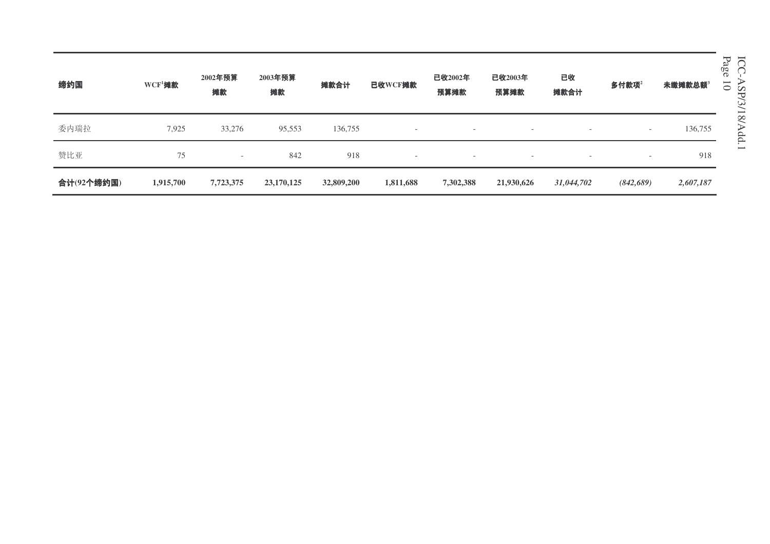缔约国 **WCF<sup>1</sup>摊款** 2002年预算 摊款 **2003年预算** 摊款 摊款合计 **已收WCF摊款** Ꮖᬊ**2002**ᑈ 预算摊款 Ꮖᬊ**2003**ᑈ 预算摊款 已收 摊款合计  $36\frac{1}{2}$ 好好了 本缴摊款总额<sup>3</sup> 委内瑞拉 7,925 33,276 95,553 136,755 136,755 赞比亚  $\overline{\rm T}$  . The contract of the contract of the contract of the contract of the contract of the contract of the contract of the contract of the contract of the contract of the contract of the contract of the contract of t ড়䅵**(92**Ͼ㓨㑺**) 1,915,700 7,723,375 23,170,125 32,809,200 1,811,688 7,302,388 21,930,626** *31,044,702 (842,689) 2,607,187* Page 1 0

ICC-ASP/3/18/Add.1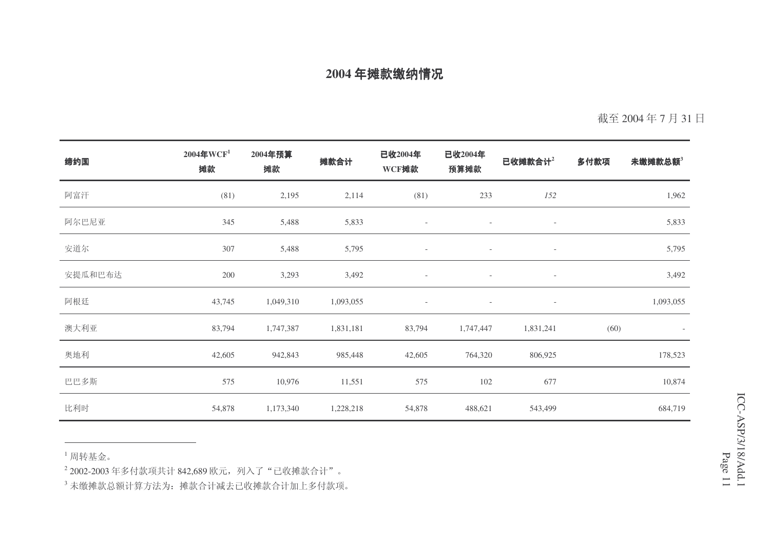截至 2004年7月31日

| 缔约国     | $2004$ 年WCF <sup>1</sup><br>摊款 | 2004年预算<br>摊款 | 摊款合计      | 已收2004年<br>WCF摊款         | 已收2004年<br>预算摊款          | 已收摊款合计 <sup>2</sup>      | 多付款项 | 未缴摊款总额3   |
|---------|--------------------------------|---------------|-----------|--------------------------|--------------------------|--------------------------|------|-----------|
| 阿富汗     | (81)                           | 2,195         | 2,114     | (81)                     | 233                      | 152                      |      | 1,962     |
| 阿尔巴尼亚   | 345                            | 5,488         | 5,833     | $\overline{\phantom{a}}$ | $\overline{\phantom{a}}$ | $\overline{\phantom{a}}$ |      | 5,833     |
| 安道尔     | 307                            | 5,488         | 5,795     | $\overline{\phantom{a}}$ | $\overline{\phantom{a}}$ | $\overline{\phantom{a}}$ |      | 5,795     |
| 安提瓜和巴布达 | 200                            | 3,293         | 3,492     | $\overline{\phantom{a}}$ | $\overline{\phantom{a}}$ | $\overline{\phantom{a}}$ |      | 3,492     |
| 阿根廷     | 43,745                         | 1,049,310     | 1,093,055 | $\overline{\phantom{a}}$ | $\overline{\phantom{a}}$ | $\overline{\phantom{a}}$ |      | 1,093,055 |
| 澳大利亚    | 83,794                         | 1,747,387     | 1,831,181 | 83,794                   | 1,747,447                | 1,831,241                | (60) |           |
| 奥地利     | 42,605                         | 942,843       | 985,448   | 42,605                   | 764,320                  | 806,925                  |      | 178,523   |
| 巴巴多斯    | 575                            | 10,976        | 11,551    | 575                      | 102                      | 677                      |      | 10,874    |
| 比利时     | 54,878                         | 1,173,340     | 1,228,218 | 54,878                   | 488,621                  | 543,499                  |      | 684,719   |

 $^1$  周转基金。

<sup>2</sup> 2002-2003 年多付款项共计 842,689 欧元,列入了"己收摊款合计"。

 $^3$ 未缴摊款总额计算方法为:摊款合计减去已收摊款合计加上多付款项。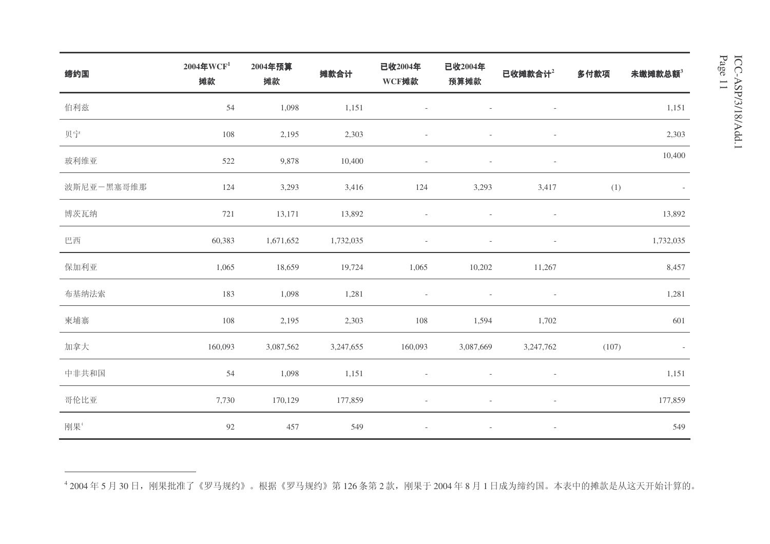| 缔约国        | $2004$ 年WCF <sup>1</sup><br>摊款 | 2004年预算<br>摊款 | 摊款合计      | 已收2004年<br>WCF摊款         | 已收2004年<br>预算摊款          | 已收摊款合计2                  | 多付款项  | 未缴摊款总额3   |
|------------|--------------------------------|---------------|-----------|--------------------------|--------------------------|--------------------------|-------|-----------|
| 伯利兹        | 54                             | 1,098         | 1,151     | $\overline{\phantom{a}}$ | $\overline{\phantom{a}}$ | $\overline{\phantom{a}}$ |       | 1,151     |
| 贝宁         | 108                            | 2,195         | 2,303     | $\frac{1}{2}$            | $\overline{\phantom{a}}$ | $\overline{\phantom{a}}$ |       | 2,303     |
| 玻利维亚       | 522                            | 9,878         | 10,400    | $\overline{\phantom{a}}$ | $\overline{\phantom{a}}$ | $\overline{\phantom{a}}$ |       | 10,400    |
| 波斯尼亚一黑塞哥维那 | 124                            | 3,293         | 3,416     | 124                      | 3,293                    | 3,417                    | (1)   |           |
| 博茨瓦纳       | 721                            | 13,171        | 13,892    | $\overline{a}$           | $\overline{\phantom{a}}$ | $\overline{\phantom{a}}$ |       | 13,892    |
| 巴西         | 60,383                         | 1,671,652     | 1,732,035 | $\overline{\phantom{a}}$ | $\overline{\phantom{a}}$ | $\overline{\phantom{a}}$ |       | 1,732,035 |
| 保加利亚       | 1,065                          | 18,659        | 19,724    | 1,065                    | 10,202                   | 11,267                   |       | 8,457     |
| 布基纳法索      | 183                            | 1,098         | 1,281     | $\overline{\phantom{a}}$ | $\overline{\phantom{a}}$ | $\overline{\phantom{a}}$ |       | 1,281     |
| 柬埔寨        | 108                            | 2,195         | 2,303     | 108                      | 1,594                    | 1,702                    |       | 601       |
| 加拿大        | 160,093                        | 3,087,562     | 3,247,655 | 160,093                  | 3,087,669                | 3,247,762                | (107) |           |
| 中非共和国      | 54                             | 1,098         | 1,151     | $\overline{\phantom{a}}$ | $\overline{\phantom{a}}$ | $\overline{\phantom{a}}$ |       | 1,151     |
| 哥伦比亚       | 7,730                          | 170,129       | 177,859   | $\overline{\phantom{0}}$ | $\overline{\phantom{m}}$ | $\overline{\phantom{a}}$ |       | 177,859   |
| 刚果4        | 92                             | 457           | 549       | $\overline{\phantom{a}}$ | $\overline{\phantom{a}}$ | $\overline{\phantom{a}}$ |       | 549       |

<sup>4</sup> 2004 年 5 月 30 日,刚果批准了《罗马规约》。根据《罗马规约》第 126 条第 2 款,刚果于 2004 年 8 月 1 日成为缔约国。本表中的摊款是从这天开始计算的。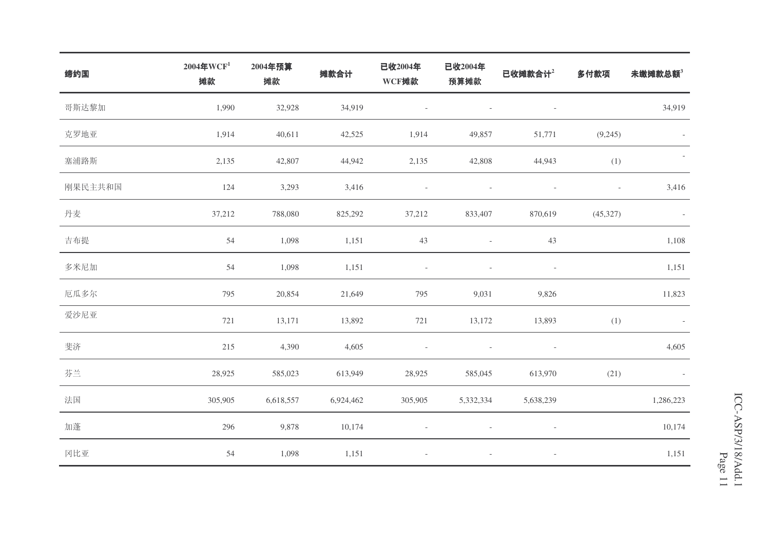| 缔约国     | $2004$ 年WCF <sup>1</sup><br>摊款 | 2004年预算<br>摊款 | 摊款合计      | 已收2004年<br>WCF摊款         | 已收2004年<br>预算摊款          | 已收摊款合计2                  | 多付款项                     | 未缴摊款总额3                  |
|---------|--------------------------------|---------------|-----------|--------------------------|--------------------------|--------------------------|--------------------------|--------------------------|
| 哥斯达黎加   | 1,990                          | 32,928        | 34,919    | $\overline{\phantom{a}}$ |                          | $\overline{\phantom{a}}$ |                          | 34,919                   |
| 克罗地亚    | 1,914                          | 40,611        | 42,525    | 1,914                    | 49,857                   | 51,771                   | (9,245)                  | $\overline{\phantom{a}}$ |
| 塞浦路斯    | 2,135                          | 42,807        | 44,942    | 2,135                    | 42,808                   | 44,943                   | (1)                      | $\overline{\phantom{a}}$ |
| 刚果民主共和国 | 124                            | 3,293         | 3,416     | $\overline{\phantom{a}}$ |                          | $\overline{\phantom{a}}$ | $\overline{\phantom{a}}$ | 3,416                    |
| 丹麦      | 37,212                         | 788,080       | 825,292   | 37,212                   | 833,407                  | 870,619                  | (45,327)                 | $\sim$                   |
| 吉布提     | 54                             | 1,098         | 1,151     | 43                       | $\overline{\phantom{a}}$ | 43                       |                          | 1,108                    |
| 多米尼加    | 54                             | 1,098         | 1,151     | $\overline{\phantom{a}}$ | $\overline{\phantom{a}}$ | $\overline{\phantom{a}}$ |                          | 1,151                    |
| 厄瓜多尔    | 795                            | 20,854        | 21,649    | 795                      | 9,031                    | 9,826                    |                          | 11,823                   |
| 爱沙尼亚    | 721                            | 13,171        | 13,892    | 721                      | 13,172                   | 13,893                   | (1)                      | $\sim$                   |
| 斐济      | 215                            | 4,390         | 4,605     | $\overline{\phantom{a}}$ | $\overline{\phantom{a}}$ | $\overline{\phantom{a}}$ |                          | 4,605                    |
| 芬兰      | 28,925                         | 585,023       | 613,949   | 28,925                   | 585,045                  | 613,970                  | (21)                     |                          |
| 法国      | 305,905                        | 6,618,557     | 6,924,462 | 305,905                  | 5,332,334                | 5,638,239                |                          | 1,286,223                |
| 加蓬      | 296                            | 9,878         | 10,174    | $\overline{\phantom{a}}$ | $\bar{a}$                | $\overline{\phantom{a}}$ |                          | 10,174                   |
| 冈比亚     | 54                             | 1,098         | 1,151     | $\overline{\phantom{a}}$ | $\overline{\phantom{a}}$ | $\overline{\phantom{a}}$ |                          | 1,151                    |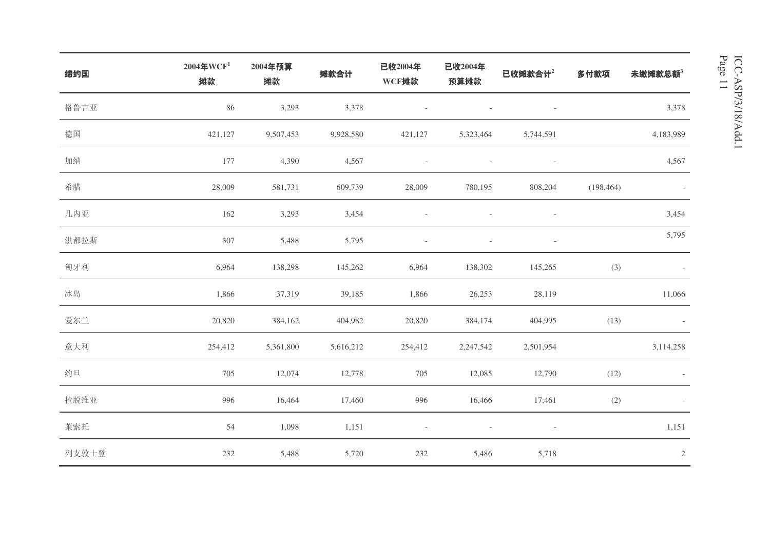| 缔约国   | $2004$ 年WCF <sup>1</sup><br>摊款 | 2004年预算<br>摊款 | 摊款合计      | 已收2004年<br>WCF摊款         | 已收2004年<br>预算摊款 | 已收摊款合计2                  | 多付款项       | 未缴摊款总额3                  |
|-------|--------------------------------|---------------|-----------|--------------------------|-----------------|--------------------------|------------|--------------------------|
| 格鲁吉亚  | 86                             | 3,293         | 3,378     |                          |                 | $\overline{\phantom{a}}$ |            | 3,378                    |
| 德国    | 421,127                        | 9,507,453     | 9,928,580 | 421,127                  | 5,323,464       | 5,744,591                |            | 4,183,989                |
| 加纳    | 177                            | 4,390         | 4,567     | $\overline{\phantom{a}}$ |                 | $\overline{\phantom{a}}$ |            | 4,567                    |
| 希腊    | 28,009                         | 581,731       | 609,739   | 28,009                   | 780,195         | 808,204                  | (198, 464) | $\overline{\phantom{a}}$ |
| 几内亚   | 162                            | 3,293         | 3,454     |                          |                 | $\sim$                   |            | 3,454                    |
| 洪都拉斯  | 307                            | 5,488         | 5,795     | ÷,                       |                 | $\overline{\phantom{a}}$ |            | 5,795                    |
| 匈牙利   | 6,964                          | 138,298       | 145,262   | 6,964                    | 138,302         | 145,265                  | (3)        |                          |
| 冰岛    | 1,866                          | 37,319        | 39,185    | 1,866                    | 26,253          | 28,119                   |            | 11,066                   |
| 爱尔兰   | 20,820                         | 384,162       | 404,982   | 20,820                   | 384,174         | 404,995                  | (13)       | $\overline{\phantom{a}}$ |
| 意大利   | 254,412                        | 5,361,800     | 5,616,212 | 254,412                  | 2,247,542       | 2,501,954                |            | 3,114,258                |
| 约旦    | 705                            | 12,074        | 12,778    | 705                      | 12,085          | 12,790                   | (12)       |                          |
| 拉脱维亚  | 996                            | 16,464        | 17,460    | 996                      | 16,466          | 17,461                   | (2)        |                          |
| 莱索托   | 54                             | 1,098         | 1,151     | $\overline{a}$           |                 | $\overline{\phantom{a}}$ |            | 1,151                    |
| 列支敦士登 | 232                            | 5,488         | 5,720     | 232                      | 5,486           | 5,718                    |            | $\sqrt{2}$               |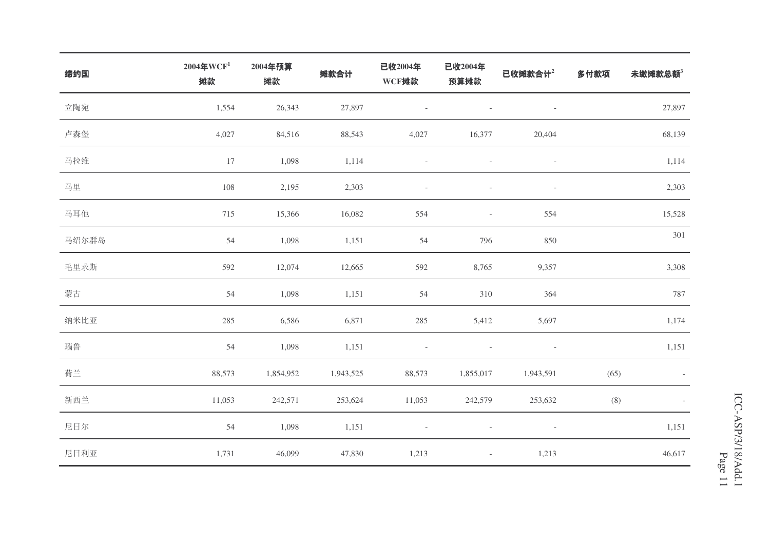| 缔约国   | $2004$ 年WCF <sup>1</sup><br>摊款 | 2004年预算<br>摊款 | 摊款合计      | 已收2004年<br>WCF摊款         | 已收2004年<br>预算摊款          | 已收摊款合计 <sup>2</sup>      | 多付款项 | 未缴摊款总额3 |
|-------|--------------------------------|---------------|-----------|--------------------------|--------------------------|--------------------------|------|---------|
| 立陶宛   | 1,554                          | 26,343        | 27,897    | $\overline{\phantom{a}}$ |                          | $\overline{\phantom{a}}$ |      | 27,897  |
| 卢森堡   | 4,027                          | 84,516        | 88,543    | 4,027                    | 16,377                   | 20,404                   |      | 68,139  |
| 马拉维   | 17                             | 1,098         | 1,114     | $\overline{\phantom{a}}$ | $\sim$                   | $\overline{\phantom{a}}$ |      | 1,114   |
| 马里    | 108                            | 2,195         | 2,303     | $\overline{\phantom{a}}$ | $\overline{\phantom{a}}$ | $\overline{\phantom{a}}$ |      | 2,303   |
| 马耳他   | 715                            | 15,366        | 16,082    | 554                      | $\overline{\phantom{a}}$ | 554                      |      | 15,528  |
| 马绍尔群岛 | 54                             | 1,098         | 1,151     | 54                       | 796                      | 850                      |      | 301     |
| 毛里求斯  | 592                            | 12,074        | 12,665    | 592                      | 8,765                    | 9,357                    |      | 3,308   |
| 蒙古    | 54                             | 1,098         | 1,151     | 54                       | 310                      | 364                      |      | 787     |
| 纳米比亚  | 285                            | 6,586         | 6,871     | 285                      | 5,412                    | 5,697                    |      | 1,174   |
| 瑙鲁    | 54                             | 1,098         | 1,151     | $\overline{\phantom{a}}$ | $\overline{\phantom{a}}$ | $\overline{\phantom{a}}$ |      | 1,151   |
| 荷兰    | 88,573                         | 1,854,952     | 1,943,525 | 88,573                   | 1,855,017                | 1,943,591                | (65) |         |
| 新西兰   | 11,053                         | 242,571       | 253,624   | 11,053                   | 242,579                  | 253,632                  | (8)  |         |
| 尼日尔   | 54                             | 1,098         | 1,151     | $\overline{\phantom{a}}$ | $\overline{\phantom{a}}$ | $\overline{\phantom{a}}$ |      | 1,151   |
| 尼日利亚  | 1,731                          | 46,099        | 47,830    | 1,213                    | $\overline{\phantom{a}}$ | 1,213                    |      | 46,617  |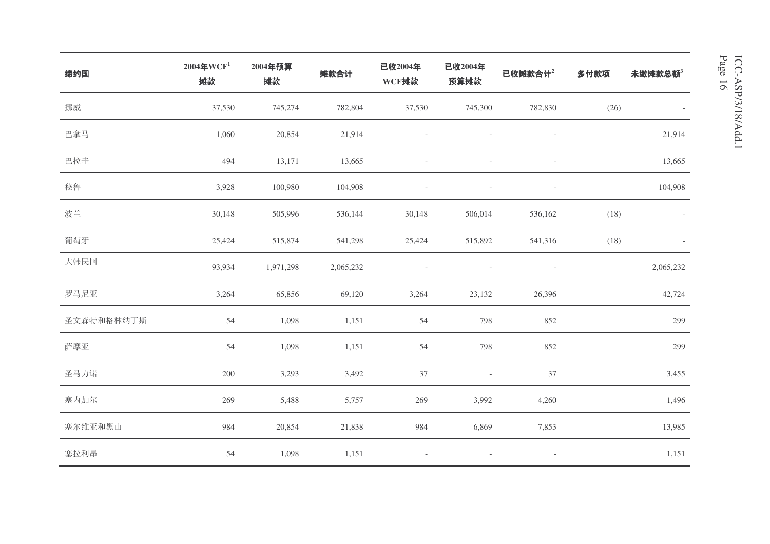| 缔约国        | $2004$ 年WCF <sup>1</sup><br>摊款 | 2004年预算<br>摊款 | 摊款合计      | 已收2004年<br>WCF摊款 | 已收2004年<br>预算摊款          | 已收摊款合计2                  | 多付款项 | 未缴摊款总额3   |
|------------|--------------------------------|---------------|-----------|------------------|--------------------------|--------------------------|------|-----------|
| 挪威         | 37,530                         | 745,274       | 782,804   | 37,530           | 745,300                  | 782,830                  | (26) |           |
| 巴拿马        | 1,060                          | 20,854        | 21,914    |                  | $\overline{\phantom{a}}$ | $\overline{\phantom{a}}$ |      | 21,914    |
| 巴拉圭        | 494                            | 13,171        | 13,665    |                  | $\overline{\phantom{a}}$ | $\overline{\phantom{a}}$ |      | 13,665    |
| 秘鲁         | 3,928                          | 100,980       | 104,908   |                  | $\overline{\phantom{a}}$ | $\overline{\phantom{a}}$ |      | 104,908   |
| 波兰         | 30,148                         | 505,996       | 536,144   | 30,148           | 506,014                  | 536,162                  | (18) |           |
| 葡萄牙        | 25,424                         | 515,874       | 541,298   | 25,424           | 515,892                  | 541,316                  | (18) |           |
| 大韩民国       | 93,934                         | 1,971,298     | 2,065,232 |                  | $\overline{\phantom{a}}$ | $\overline{\phantom{a}}$ |      | 2,065,232 |
| 罗马尼亚       | 3,264                          | 65,856        | 69,120    | 3,264            | 23,132                   | 26,396                   |      | 42,724    |
| 圣文森特和格林纳丁斯 | 54                             | 1,098         | 1,151     | 54               | 798                      | 852                      |      | 299       |
| 萨摩亚        | 54                             | 1,098         | 1,151     | 54               | 798                      | 852                      |      | 299       |
| 圣马力诺       | 200                            | 3,293         | 3,492     | 37               | $\overline{\phantom{a}}$ | 37                       |      | 3,455     |
| 塞内加尔       | 269                            | 5,488         | 5,757     | 269              | 3,992                    | 4,260                    |      | 1,496     |
| 塞尔维亚和黑山    | 984                            | 20,854        | 21,838    | 984              | 6,869                    | 7,853                    |      | 13,985    |
| 塞拉利昂       | 54                             | 1,098         | 1,151     |                  |                          | $\overline{\phantom{a}}$ |      | 1,151     |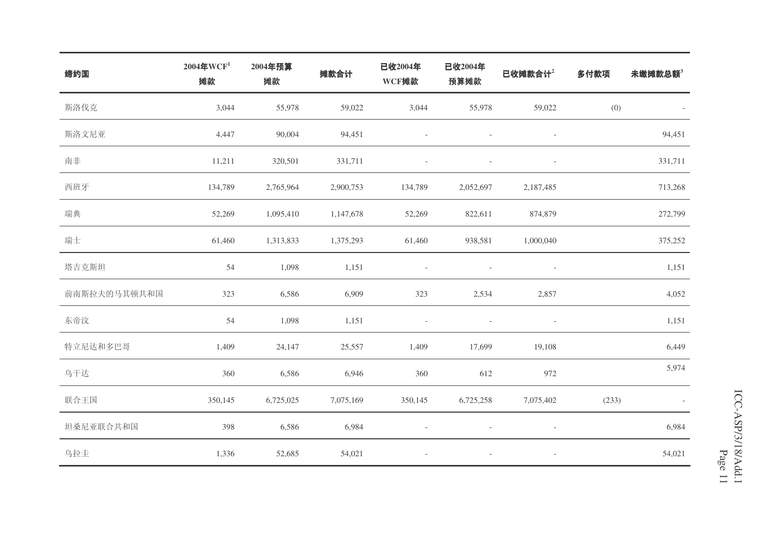| 缔约国          | $2004$ 年WCF <sup>1</sup><br>摊款 | 2004年预算<br>摊款 | 摊款合计      | 已收2004年<br>WCF摊款         | 已收2004年<br>预算摊款          | 已收摊款合计2                  | 多付款项  | 未缴摊款总额3 |
|--------------|--------------------------------|---------------|-----------|--------------------------|--------------------------|--------------------------|-------|---------|
| 斯洛伐克         | 3,044                          | 55,978        | 59,022    | 3,044                    | 55,978                   | 59,022                   | (0)   |         |
| 斯洛文尼亚        | 4,447                          | 90,004        | 94,451    | $\overline{\phantom{a}}$ | $\overline{\phantom{a}}$ | $\overline{\phantom{a}}$ |       | 94,451  |
| 南非           | 11,211                         | 320,501       | 331,711   | $\overline{a}$           | $\overline{a}$           | $\bar{a}$                |       | 331,711 |
| 西班牙          | 134,789                        | 2,765,964     | 2,900,753 | 134,789                  | 2,052,697                | 2,187,485                |       | 713,268 |
| 瑞典           | 52,269                         | 1,095,410     | 1,147,678 | 52,269                   | 822,611                  | 874,879                  |       | 272,799 |
| 瑞士           | 61,460                         | 1,313,833     | 1,375,293 | 61,460                   | 938,581                  | 1,000,040                |       | 375,252 |
| 塔吉克斯坦        | 54                             | 1,098         | 1,151     | $\overline{\phantom{a}}$ | $\overline{\phantom{a}}$ | $\overline{\phantom{a}}$ |       | 1,151   |
| 前南斯拉夫的马其顿共和国 | 323                            | 6,586         | 6,909     | 323                      | 2,534                    | 2,857                    |       | 4,052   |
| 东帝汶          | 54                             | 1,098         | 1,151     | $\overline{\phantom{a}}$ |                          | $\overline{\phantom{a}}$ |       | 1,151   |
| 特立尼达和多巴哥     | 1,409                          | 24,147        | 25,557    | 1,409                    | 17,699                   | 19,108                   |       | 6,449   |
| 乌干达          | 360                            | 6,586         | 6,946     | 360                      | 612                      | 972                      |       | 5,974   |
| 联合王国         | 350,145                        | 6,725,025     | 7,075,169 | 350,145                  | 6,725,258                | 7,075,402                | (233) |         |
| 坦桑尼亚联合共和国    | 398                            | 6,586         | 6,984     |                          |                          | $\overline{\phantom{a}}$ |       | 6,984   |
| 乌拉圭          | 1,336                          | 52,685        | 54,021    | $\overline{\phantom{a}}$ |                          | $\overline{\phantom{a}}$ |       | 54,021  |